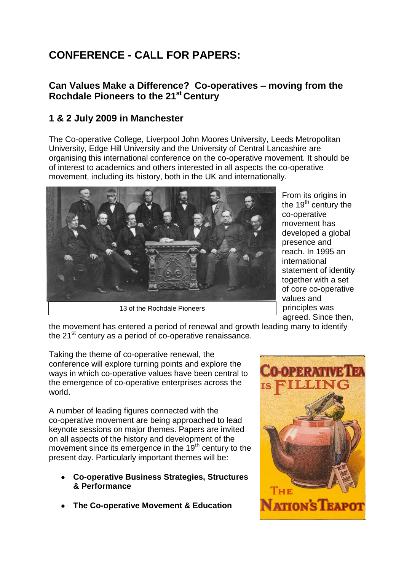## **CONFERENCE - CALL FOR PAPERS:**

## **Can Values Make a Difference? Co-operatives – moving from the Rochdale Pioneers to the 21st Century**

## **1 & 2 July 2009 in Manchester**

The Co-operative College, Liverpool John Moores University, Leeds Metropolitan University, Edge Hill University and the University of Central Lancashire are organising this international conference on the co-operative movement. It should be of interest to academics and others interested in all aspects the co-operative movement, including its history, both in the UK and internationally.



From its origins in the  $19<sup>th</sup>$  century the co-operative movement has developed a global presence and reach. In 1995 an international statement of identity together with a set of core co-operative values and principles was agreed. Since then,

the movement has entered a period of renewal and growth leading many to identify the  $21^{st}$  century as a period of co-operative renaissance.

Taking the theme of co-operative renewal, the conference will explore turning points and explore the ways in which co-operative values have been central to the emergence of co-operative enterprises across the world.

A number of leading figures connected with the co-operative movement are being approached to lead keynote sessions on major themes. Papers are invited on all aspects of the history and development of the movement since its emergence in the  $19<sup>th</sup>$  century to the present day. Particularly important themes will be:

- **Co-operative Business Strategies, Structures & Performance**
- **The Co-operative Movement & Education**